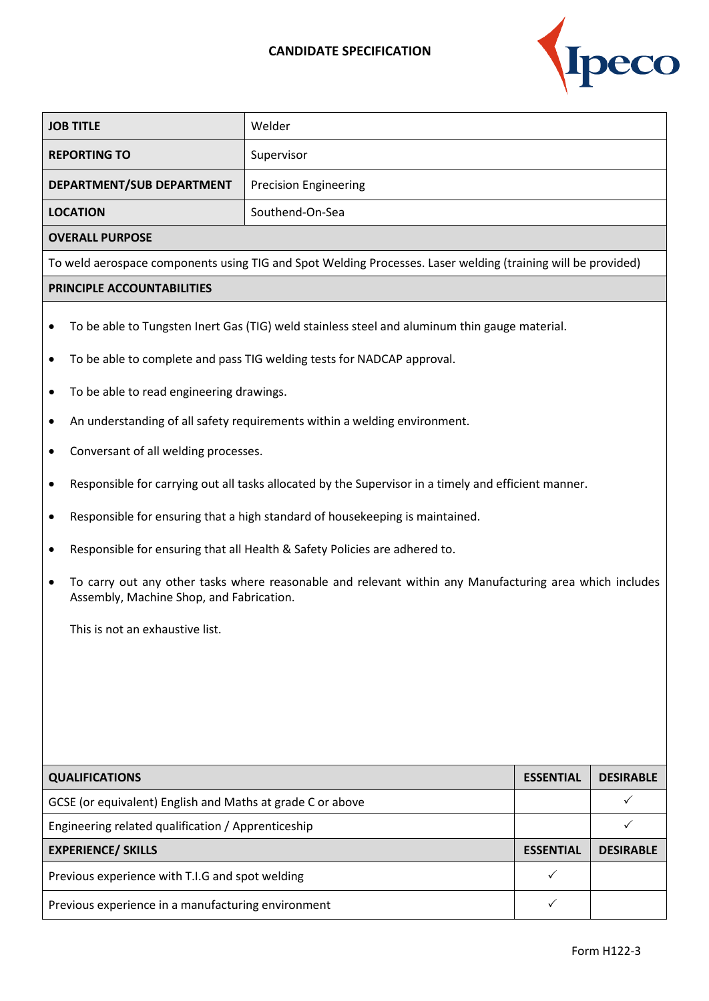## **CANDIDATE SPECIFICATION**



| <b>REPORTING TO</b><br>Supervisor<br>DEPARTMENT/SUB DEPARTMENT<br><b>Precision Engineering</b><br><b>LOCATION</b><br>Southend-On-Sea<br><b>OVERALL PURPOSE</b><br>To weld aerospace components using TIG and Spot Welding Processes. Laser welding (training will be provided)<br>PRINCIPLE ACCOUNTABILITIES<br>To be able to Tungsten Inert Gas (TIG) weld stainless steel and aluminum thin gauge material.<br>٠<br>To be able to complete and pass TIG welding tests for NADCAP approval.<br>٠<br>To be able to read engineering drawings.<br>An understanding of all safety requirements within a welding environment.<br>Conversant of all welding processes.<br>Responsible for carrying out all tasks allocated by the Supervisor in a timely and efficient manner.<br>٠<br>Responsible for ensuring that a high standard of housekeeping is maintained.<br>Responsible for ensuring that all Health & Safety Policies are adhered to.<br>To carry out any other tasks where reasonable and relevant within any Manufacturing area which includes<br>Assembly, Machine Shop, and Fabrication.<br>This is not an exhaustive list.<br><b>QUALIFICATIONS</b><br><b>ESSENTIAL</b><br><b>DESIRABLE</b><br>✓<br>GCSE (or equivalent) English and Maths at grade C or above<br>Engineering related qualification / Apprenticeship<br>✓<br><b>EXPERIENCE/ SKILLS</b><br><b>ESSENTIAL</b><br><b>DESIRABLE</b> | <b>JOB TITLE</b>                                |  | Welder |  |  |  |  |
|-------------------------------------------------------------------------------------------------------------------------------------------------------------------------------------------------------------------------------------------------------------------------------------------------------------------------------------------------------------------------------------------------------------------------------------------------------------------------------------------------------------------------------------------------------------------------------------------------------------------------------------------------------------------------------------------------------------------------------------------------------------------------------------------------------------------------------------------------------------------------------------------------------------------------------------------------------------------------------------------------------------------------------------------------------------------------------------------------------------------------------------------------------------------------------------------------------------------------------------------------------------------------------------------------------------------------------------------------------------------------------------------------------------|-------------------------------------------------|--|--------|--|--|--|--|
|                                                                                                                                                                                                                                                                                                                                                                                                                                                                                                                                                                                                                                                                                                                                                                                                                                                                                                                                                                                                                                                                                                                                                                                                                                                                                                                                                                                                             |                                                 |  |        |  |  |  |  |
|                                                                                                                                                                                                                                                                                                                                                                                                                                                                                                                                                                                                                                                                                                                                                                                                                                                                                                                                                                                                                                                                                                                                                                                                                                                                                                                                                                                                             |                                                 |  |        |  |  |  |  |
|                                                                                                                                                                                                                                                                                                                                                                                                                                                                                                                                                                                                                                                                                                                                                                                                                                                                                                                                                                                                                                                                                                                                                                                                                                                                                                                                                                                                             |                                                 |  |        |  |  |  |  |
|                                                                                                                                                                                                                                                                                                                                                                                                                                                                                                                                                                                                                                                                                                                                                                                                                                                                                                                                                                                                                                                                                                                                                                                                                                                                                                                                                                                                             |                                                 |  |        |  |  |  |  |
|                                                                                                                                                                                                                                                                                                                                                                                                                                                                                                                                                                                                                                                                                                                                                                                                                                                                                                                                                                                                                                                                                                                                                                                                                                                                                                                                                                                                             |                                                 |  |        |  |  |  |  |
|                                                                                                                                                                                                                                                                                                                                                                                                                                                                                                                                                                                                                                                                                                                                                                                                                                                                                                                                                                                                                                                                                                                                                                                                                                                                                                                                                                                                             |                                                 |  |        |  |  |  |  |
|                                                                                                                                                                                                                                                                                                                                                                                                                                                                                                                                                                                                                                                                                                                                                                                                                                                                                                                                                                                                                                                                                                                                                                                                                                                                                                                                                                                                             |                                                 |  |        |  |  |  |  |
|                                                                                                                                                                                                                                                                                                                                                                                                                                                                                                                                                                                                                                                                                                                                                                                                                                                                                                                                                                                                                                                                                                                                                                                                                                                                                                                                                                                                             |                                                 |  |        |  |  |  |  |
|                                                                                                                                                                                                                                                                                                                                                                                                                                                                                                                                                                                                                                                                                                                                                                                                                                                                                                                                                                                                                                                                                                                                                                                                                                                                                                                                                                                                             |                                                 |  |        |  |  |  |  |
|                                                                                                                                                                                                                                                                                                                                                                                                                                                                                                                                                                                                                                                                                                                                                                                                                                                                                                                                                                                                                                                                                                                                                                                                                                                                                                                                                                                                             |                                                 |  |        |  |  |  |  |
|                                                                                                                                                                                                                                                                                                                                                                                                                                                                                                                                                                                                                                                                                                                                                                                                                                                                                                                                                                                                                                                                                                                                                                                                                                                                                                                                                                                                             |                                                 |  |        |  |  |  |  |
|                                                                                                                                                                                                                                                                                                                                                                                                                                                                                                                                                                                                                                                                                                                                                                                                                                                                                                                                                                                                                                                                                                                                                                                                                                                                                                                                                                                                             |                                                 |  |        |  |  |  |  |
|                                                                                                                                                                                                                                                                                                                                                                                                                                                                                                                                                                                                                                                                                                                                                                                                                                                                                                                                                                                                                                                                                                                                                                                                                                                                                                                                                                                                             |                                                 |  |        |  |  |  |  |
|                                                                                                                                                                                                                                                                                                                                                                                                                                                                                                                                                                                                                                                                                                                                                                                                                                                                                                                                                                                                                                                                                                                                                                                                                                                                                                                                                                                                             |                                                 |  |        |  |  |  |  |
|                                                                                                                                                                                                                                                                                                                                                                                                                                                                                                                                                                                                                                                                                                                                                                                                                                                                                                                                                                                                                                                                                                                                                                                                                                                                                                                                                                                                             |                                                 |  |        |  |  |  |  |
|                                                                                                                                                                                                                                                                                                                                                                                                                                                                                                                                                                                                                                                                                                                                                                                                                                                                                                                                                                                                                                                                                                                                                                                                                                                                                                                                                                                                             |                                                 |  |        |  |  |  |  |
|                                                                                                                                                                                                                                                                                                                                                                                                                                                                                                                                                                                                                                                                                                                                                                                                                                                                                                                                                                                                                                                                                                                                                                                                                                                                                                                                                                                                             |                                                 |  |        |  |  |  |  |
|                                                                                                                                                                                                                                                                                                                                                                                                                                                                                                                                                                                                                                                                                                                                                                                                                                                                                                                                                                                                                                                                                                                                                                                                                                                                                                                                                                                                             |                                                 |  |        |  |  |  |  |
|                                                                                                                                                                                                                                                                                                                                                                                                                                                                                                                                                                                                                                                                                                                                                                                                                                                                                                                                                                                                                                                                                                                                                                                                                                                                                                                                                                                                             |                                                 |  |        |  |  |  |  |
|                                                                                                                                                                                                                                                                                                                                                                                                                                                                                                                                                                                                                                                                                                                                                                                                                                                                                                                                                                                                                                                                                                                                                                                                                                                                                                                                                                                                             |                                                 |  |        |  |  |  |  |
|                                                                                                                                                                                                                                                                                                                                                                                                                                                                                                                                                                                                                                                                                                                                                                                                                                                                                                                                                                                                                                                                                                                                                                                                                                                                                                                                                                                                             |                                                 |  |        |  |  |  |  |
|                                                                                                                                                                                                                                                                                                                                                                                                                                                                                                                                                                                                                                                                                                                                                                                                                                                                                                                                                                                                                                                                                                                                                                                                                                                                                                                                                                                                             |                                                 |  |        |  |  |  |  |
|                                                                                                                                                                                                                                                                                                                                                                                                                                                                                                                                                                                                                                                                                                                                                                                                                                                                                                                                                                                                                                                                                                                                                                                                                                                                                                                                                                                                             |                                                 |  |        |  |  |  |  |
|                                                                                                                                                                                                                                                                                                                                                                                                                                                                                                                                                                                                                                                                                                                                                                                                                                                                                                                                                                                                                                                                                                                                                                                                                                                                                                                                                                                                             |                                                 |  |        |  |  |  |  |
|                                                                                                                                                                                                                                                                                                                                                                                                                                                                                                                                                                                                                                                                                                                                                                                                                                                                                                                                                                                                                                                                                                                                                                                                                                                                                                                                                                                                             |                                                 |  |        |  |  |  |  |
|                                                                                                                                                                                                                                                                                                                                                                                                                                                                                                                                                                                                                                                                                                                                                                                                                                                                                                                                                                                                                                                                                                                                                                                                                                                                                                                                                                                                             |                                                 |  |        |  |  |  |  |
|                                                                                                                                                                                                                                                                                                                                                                                                                                                                                                                                                                                                                                                                                                                                                                                                                                                                                                                                                                                                                                                                                                                                                                                                                                                                                                                                                                                                             | Previous experience with T.I.G and spot welding |  | ✓      |  |  |  |  |
| Previous experience in a manufacturing environment<br>✓                                                                                                                                                                                                                                                                                                                                                                                                                                                                                                                                                                                                                                                                                                                                                                                                                                                                                                                                                                                                                                                                                                                                                                                                                                                                                                                                                     |                                                 |  |        |  |  |  |  |